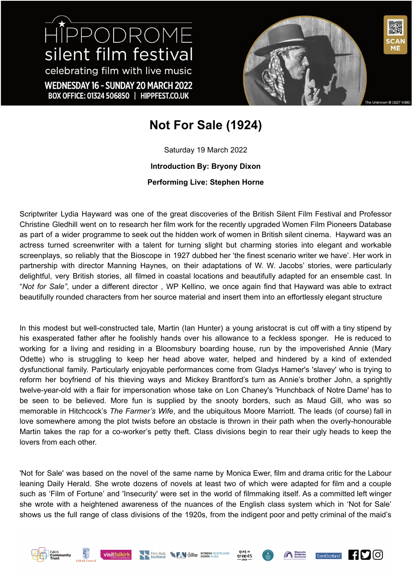HIPPODROME silent film festival celebrating film with live music WEDNESDAY 16 - SUNDAY 20 MARCH 2022 BOX OFFICE: 01324 506850 | HIPPFEST.CO.UK



## **Not For Sale (1924)**

Saturday 19 March 2022 **Introduction By: Bryony Dixon Performing Live: Stephen Horne**

Scriptwriter Lydia Hayward was one of the great discoveries of the British Silent Film Festival and Professor Christine Gledhill went on to research her film work for the recently upgraded Women Film Pioneers Database as part of a wider programme to seek out the hidden work of women in British silent cinema. Hayward was an actress turned screenwriter with a talent for turning slight but charming stories into elegant and workable screenplays, so reliably that the Bioscope in 1927 dubbed her 'the finest scenario writer we have'. Her work in partnership with director Manning Haynes, on their adaptations of W. W. Jacobs' stories, were particularly delightful, very British stories, all filmed in coastal locations and beautifully adapted for an ensemble cast. In "*Not for Sale"*, under a different director , WP Kellino, we once again find that Hayward was able to extract beautifully rounded characters from her source material and insert them into an effortlessly elegant structure

In this modest but well-constructed tale, Martin (Ian Hunter) a young aristocrat is cut off with a tiny stipend by his exasperated father after he foolishly hands over his allowance to a feckless sponger. He is reduced to working for a living and residing in a Bloomsbury boarding house, run by the impoverished Annie (Mary Odette) who is struggling to keep her head above water, helped and hindered by a kind of extended dysfunctional family. Particularly enjoyable performances come from Gladys Hamer's 'slavey' who is trying to reform her boyfriend of his thieving ways and Mickey Brantford's turn as Annie's brother John, a sprightly twelve-year-old with a flair for impersonation whose take on Lon Chaney's 'Hunchback of Notre Dame' has to be seen to be believed. More fun is supplied by the snooty borders, such as Maud Gill, who was so memorable in Hitchcock's *The Farmer's Wife*, and the ubiquitous Moore Marriott. The leads (of course) fall in love somewhere among the plot twists before an obstacle is thrown in their path when the overly-honourable Martin takes the rap for a co-worker's petty theft. Class divisions begin to rear their ugly heads to keep the lovers from each other.

'Not for Sale' was based on the novel of the same name by Monica Ewer, film and drama critic for the Labour leaning Daily Herald. She wrote dozens of novels at least two of which were adapted for film and a couple such as 'Film of Fortune' and 'Insecurity' were set in the world of filmmaking itself. As a committed left winger she wrote with a heightened awareness of the nuances of the English class system which in 'Not for Sale' shows us the full range of class divisions of the 1920s, from the indigent poor and petty criminal of the maid's